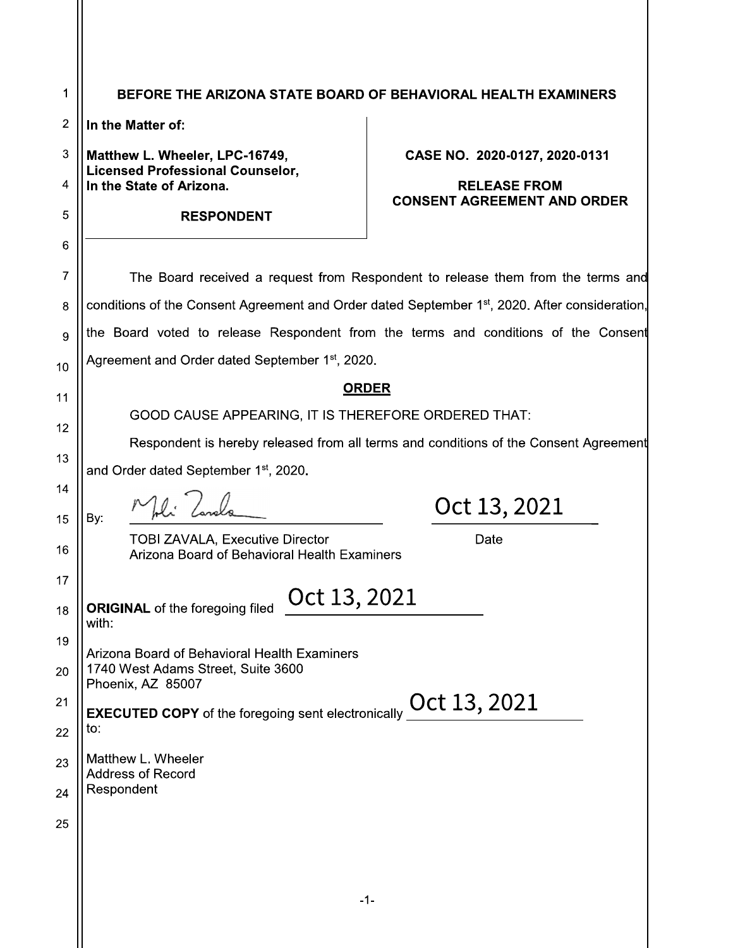|                                                                                                            |                                                                                                         | BEFORE THE ARIZONA STATE BOARD OF BEHAVIORAL HEALTH EXAMINERS                      |  |
|------------------------------------------------------------------------------------------------------------|---------------------------------------------------------------------------------------------------------|------------------------------------------------------------------------------------|--|
|                                                                                                            | In the Matter of:                                                                                       |                                                                                    |  |
|                                                                                                            | Matthew L. Wheeler, LPC-16749,<br><b>Licensed Professional Counselor,</b>                               | CASE NO. 2020-0127, 2020-0131                                                      |  |
|                                                                                                            | In the State of Arizona.                                                                                | <b>RELEASE FROM</b><br><b>CONSENT AGREEMENT AND ORDER</b>                          |  |
|                                                                                                            | <b>RESPONDENT</b>                                                                                       |                                                                                    |  |
|                                                                                                            |                                                                                                         |                                                                                    |  |
| The Board received a request from Respondent to release them from the terms and                            |                                                                                                         |                                                                                    |  |
| conditions of the Consent Agreement and Order dated September 1 <sup>st</sup> , 2020. After consideration, |                                                                                                         |                                                                                    |  |
|                                                                                                            |                                                                                                         | the Board voted to release Respondent from the terms and conditions of the Consent |  |
|                                                                                                            | Agreement and Order dated September 1st, 2020.                                                          |                                                                                    |  |
| <b>ORDER</b>                                                                                               |                                                                                                         |                                                                                    |  |
| GOOD CAUSE APPEARING, IT IS THEREFORE ORDERED THAT:                                                        |                                                                                                         |                                                                                    |  |
| Respondent is hereby released from all terms and conditions of the Consent Agreement                       |                                                                                                         |                                                                                    |  |
|                                                                                                            | and Order dated September 1 <sup>st</sup> , 2020.                                                       |                                                                                    |  |
| By:                                                                                                        |                                                                                                         | Oct 13, 2021                                                                       |  |
|                                                                                                            | <b>TOBI ZAVALA, Executive Director</b><br>Arizona Board of Behavioral Health Examiners                  | Date                                                                               |  |
| with:                                                                                                      | Oct 13, 2021<br><b>ORIGINAL</b> of the foregoing filed                                                  |                                                                                    |  |
|                                                                                                            | Arizona Board of Behavioral Health Examiners<br>1740 West Adams Street, Suite 3600<br>Phoenix, AZ 85007 |                                                                                    |  |
|                                                                                                            | <b>EXECUTED COPY</b> of the foregoing sent electronically                                               | Oct 13, 2021                                                                       |  |
| to:                                                                                                        |                                                                                                         |                                                                                    |  |
|                                                                                                            | Matthew L. Wheeler<br><b>Address of Record</b>                                                          |                                                                                    |  |
| Respondent                                                                                                 |                                                                                                         |                                                                                    |  |
|                                                                                                            |                                                                                                         |                                                                                    |  |
|                                                                                                            |                                                                                                         |                                                                                    |  |
|                                                                                                            |                                                                                                         |                                                                                    |  |
|                                                                                                            |                                                                                                         | -1-                                                                                |  |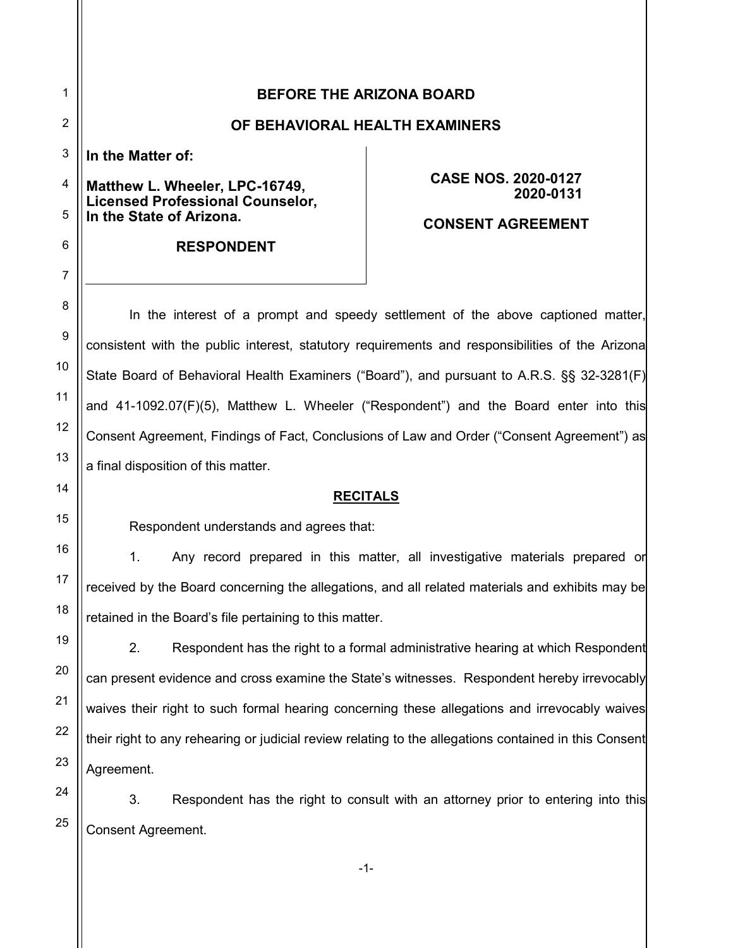|                     |                                                                                                | <b>BEFORE THE ARIZONA BOARD</b>         |
|---------------------|------------------------------------------------------------------------------------------------|-----------------------------------------|
| $\overline{2}$      |                                                                                                | OF BEHAVIORAL HEALTH EXAMINERS          |
|                     | In the Matter of:                                                                              |                                         |
| $\overline{4}$<br>5 | Matthew L. Wheeler, LPC-16749,<br>Licensed Professional Counselor,<br>In the State of Arizona. | <b>CASE NOS. 2020-0127</b><br>2020-0131 |
| 6                   | <b>RESPONDENT</b>                                                                              | <b>CONSENT AGREEMENT</b>                |

7

8

9

10

11

12

13

14

15

16

17

18

19

20

21

22

23

24

25

In the interest of a prompt and speedy settlement of the above captioned matter, consistent with the public interest, statutory requirements and responsibilities of the Arizona State Board of Behavioral Health Examiners ("Board"), and pursuant to A.R.S. §§ 32-3281(F) and 41-1092.07(F)(5), Matthew L. Wheeler ("Respondent") and the Board enter into this Consent Agreement, Findings of Fact, Conclusions of Law and Order ("Consent Agreement") as a final disposition of this matter.

## **RECITALS**

Respondent understands and agrees that:

1. Any record prepared in this matter, all investigative materials prepared or received by the Board concerning the allegations, and all related materials and exhibits may be retained in the Board's file pertaining to this matter.

2. Respondent has the right to a formal administrative hearing at which Respondent can present evidence and cross examine the State's witnesses. Respondent hereby irrevocably waives their right to such formal hearing concerning these allegations and irrevocably waives their right to any rehearing or judicial review relating to the allegations contained in this Consent Agreement.

3. Respondent has the right to consult with an attorney prior to entering into this Consent Agreement.

-1-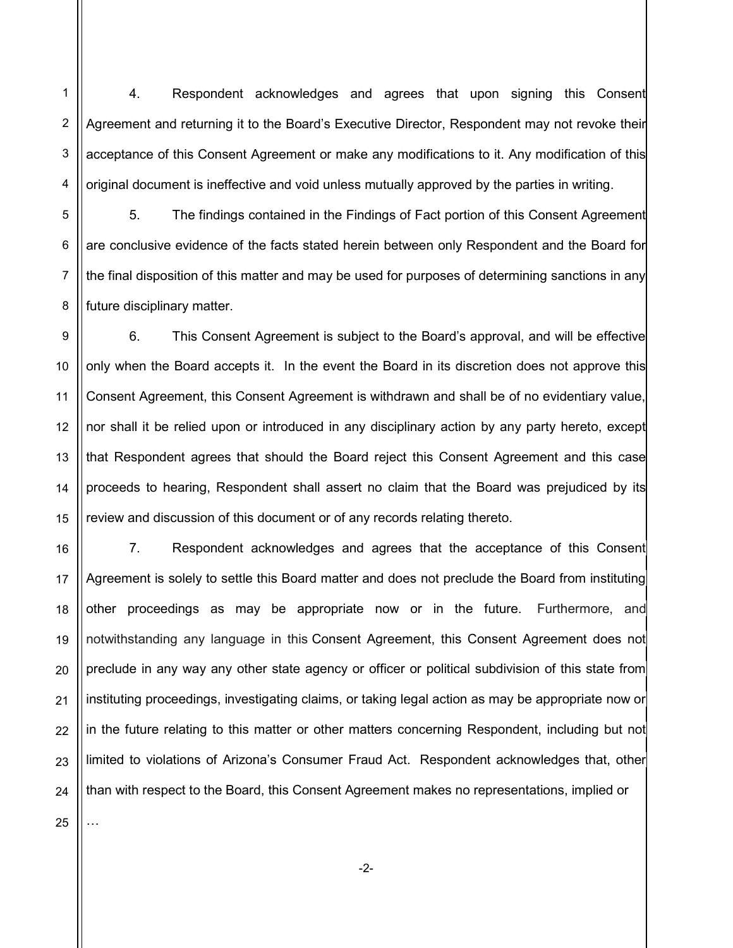1 2 3 4 4. Respondent acknowledges and agrees that upon signing this Consent Agreement and returning it to the Board's Executive Director, Respondent may not revoke their acceptance of this Consent Agreement or make any modifications to it. Any modification of this original document is ineffective and void unless mutually approved by the parties in writing.

5 6 7 8 5. The findings contained in the Findings of Fact portion of this Consent Agreement are conclusive evidence of the facts stated herein between only Respondent and the Board for the final disposition of this matter and may be used for purposes of determining sanctions in any future disciplinary matter.

9 10 11 12 13 14 15 6. This Consent Agreement is subject to the Board's approval, and will be effective only when the Board accepts it. In the event the Board in its discretion does not approve this Consent Agreement, this Consent Agreement is withdrawn and shall be of no evidentiary value, nor shall it be relied upon or introduced in any disciplinary action by any party hereto, except that Respondent agrees that should the Board reject this Consent Agreement and this case proceeds to hearing, Respondent shall assert no claim that the Board was prejudiced by its review and discussion of this document or of any records relating thereto.

16 17 18 19 20 21 22 7. Respondent acknowledges and agrees that the acceptance of this Consent Agreement is solely to settle this Board matter and does not preclude the Board from instituting other proceedings as may be appropriate now or in the future. Furthermore, and notwithstanding any language in this Consent Agreement, this Consent Agreement does not preclude in any way any other state agency or officer or political subdivision of this state from instituting proceedings, investigating claims, or taking legal action as may be appropriate now or in the future relating to this matter or other matters concerning Respondent, including but not limited to violations of Arizona's Consumer Fraud Act. Respondent acknowledges that, other than with respect to the Board, this Consent Agreement makes no representations, implied or

23 24

25

…

-2-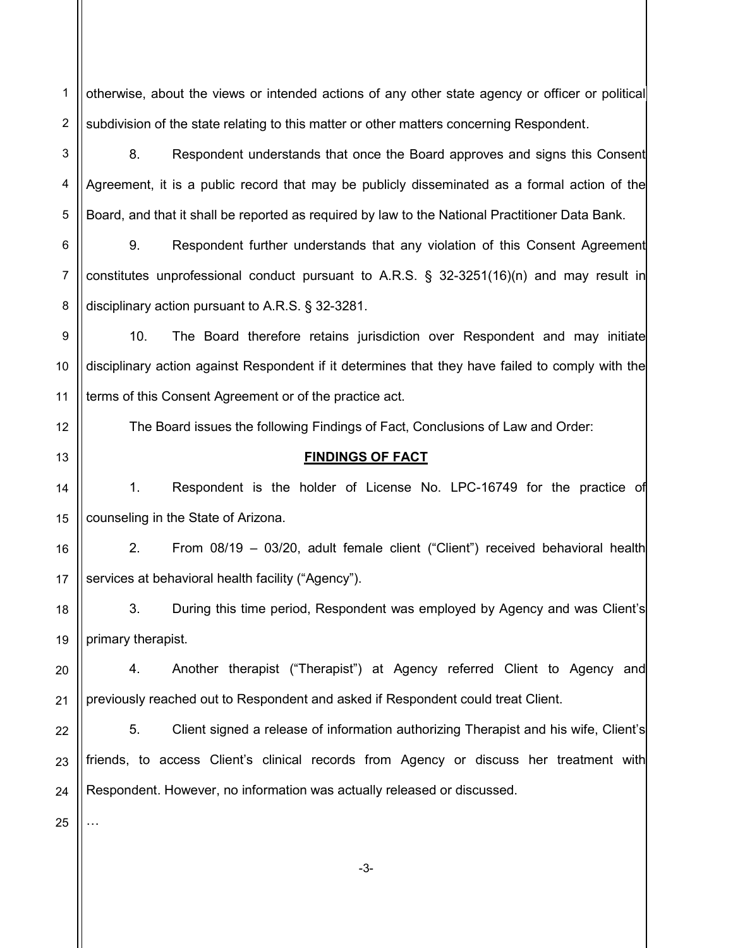1 2 otherwise, about the views or intended actions of any other state agency or officer or political subdivision of the state relating to this matter or other matters concerning Respondent.

3 4 5 8. Respondent understands that once the Board approves and signs this Consent Agreement, it is a public record that may be publicly disseminated as a formal action of the Board, and that it shall be reported as required by law to the National Practitioner Data Bank.

6 7 8 9. Respondent further understands that any violation of this Consent Agreement constitutes unprofessional conduct pursuant to A.R.S. § 32-3251(16)(n) and may result in disciplinary action pursuant to A.R.S. § 32-3281.

9 10 11 10. The Board therefore retains jurisdiction over Respondent and may initiate disciplinary action against Respondent if it determines that they have failed to comply with the terms of this Consent Agreement or of the practice act.

The Board issues the following Findings of Fact, Conclusions of Law and Order:

# FINDINGS OF FACT

14 15 1. Respondent is the holder of License No. LPC-16749 for the practice of counseling in the State of Arizona.

16 17 2. From 08/19 – 03/20, adult female client ("Client") received behavioral health services at behavioral health facility ("Agency").

3. During this time period, Respondent was employed by Agency and was Client's primary therapist.

20 21 4. Another therapist ("Therapist") at Agency referred Client to Agency and previously reached out to Respondent and asked if Respondent could treat Client.

22 23 24 5. Client signed a release of information authorizing Therapist and his wife, Client's friends, to access Client's clinical records from Agency or discuss her treatment with Respondent. However, no information was actually released or discussed.

25

…

12

13

18

19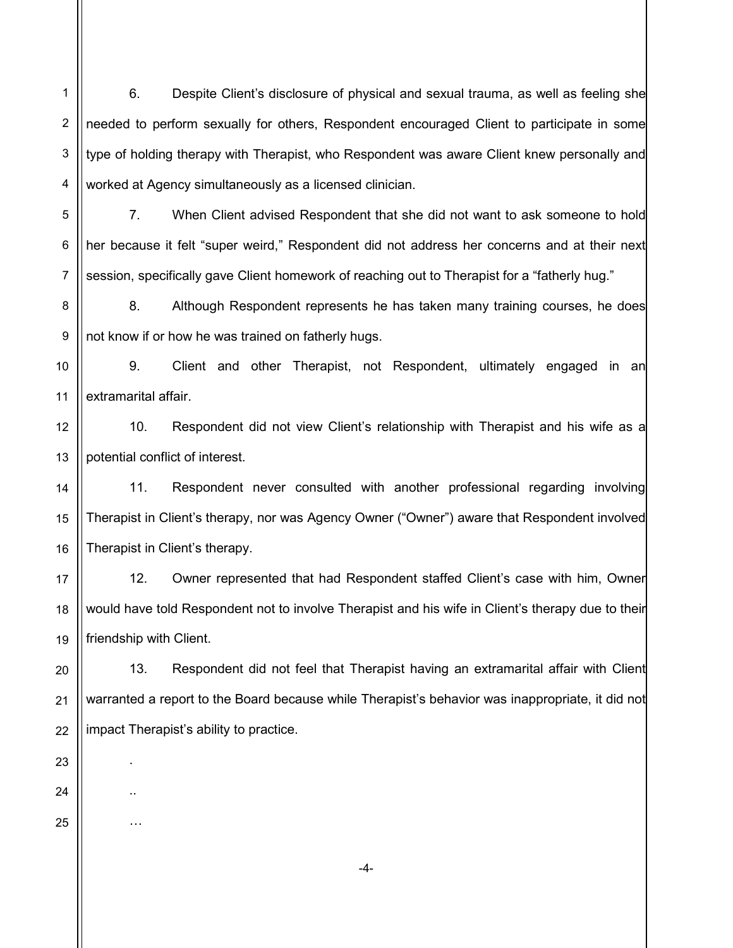6. Despite Client's disclosure of physical and sexual trauma, as well as feeling she needed to perform sexually for others, Respondent encouraged Client to participate in some type of holding therapy with Therapist, who Respondent was aware Client knew personally and worked at Agency simultaneously as a licensed clinician.

7. When Client advised Respondent that she did not want to ask someone to hold her because it felt "super weird," Respondent did not address her concerns and at their next session, specifically gave Client homework of reaching out to Therapist for a "fatherly hug."

8 9 8. Although Respondent represents he has taken many training courses, he does not know if or how he was trained on fatherly hugs.

9. Client and other Therapist, not Respondent, ultimately engaged in an extramarital affair.

10. Respondent did not view Client's relationship with Therapist and his wife as a potential conflict of interest.

11. Respondent never consulted with another professional regarding involving Therapist in Client's therapy, nor was Agency Owner ("Owner") aware that Respondent involved Therapist in Client's therapy.

12. Owner represented that had Respondent staffed Client's case with him, Owner would have told Respondent not to involve Therapist and his wife in Client's therapy due to their friendship with Client.

13. Respondent did not feel that Therapist having an extramarital affair with Client warranted a report to the Board because while Therapist's behavior was inappropriate, it did not impact Therapist's ability to practice.

1

2

3

4

5

6

7

.

..

…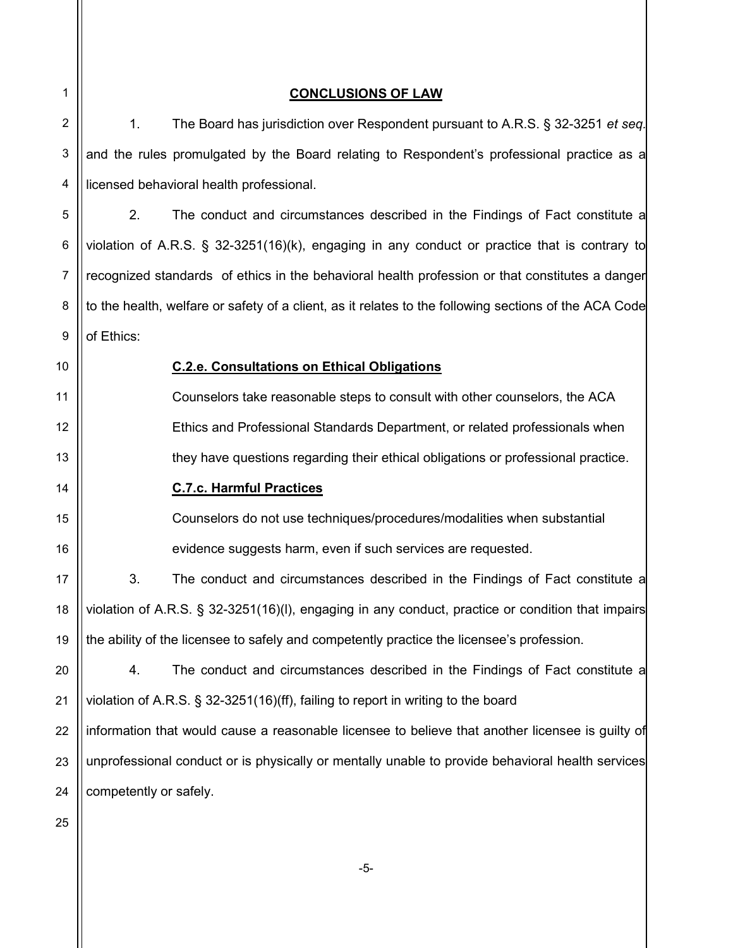1 2 3 4 5 6 7 8 9 10 11 12 13 14 15 16 17 18 19 20 21 22 23 24 25 CONCLUSIONS OF LAW 1. The Board has jurisdiction over Respondent pursuant to A.R.S. § 32-3251 et seq. and the rules promulgated by the Board relating to Respondent's professional practice as a licensed behavioral health professional. 2. The conduct and circumstances described in the Findings of Fact constitute a violation of A.R.S. § 32-3251(16)(k), engaging in any conduct or practice that is contrary to recognized standards of ethics in the behavioral health profession or that constitutes a danger to the health, welfare or safety of a client, as it relates to the following sections of the ACA Code of Ethics: C.2.e. Consultations on Ethical Obligations Counselors take reasonable steps to consult with other counselors, the ACA Ethics and Professional Standards Department, or related professionals when they have questions regarding their ethical obligations or professional practice. C.7.c. Harmful Practices Counselors do not use techniques/procedures/modalities when substantial evidence suggests harm, even if such services are requested. 3. The conduct and circumstances described in the Findings of Fact constitute a violation of A.R.S. § 32-3251(16)(l), engaging in any conduct, practice or condition that impairs the ability of the licensee to safely and competently practice the licensee's profession. 4. The conduct and circumstances described in the Findings of Fact constitute a violation of A.R.S. § 32-3251(16)(ff), failing to report in writing to the board information that would cause a reasonable licensee to believe that another licensee is guilty of unprofessional conduct or is physically or mentally unable to provide behavioral health services competently or safely.

-5-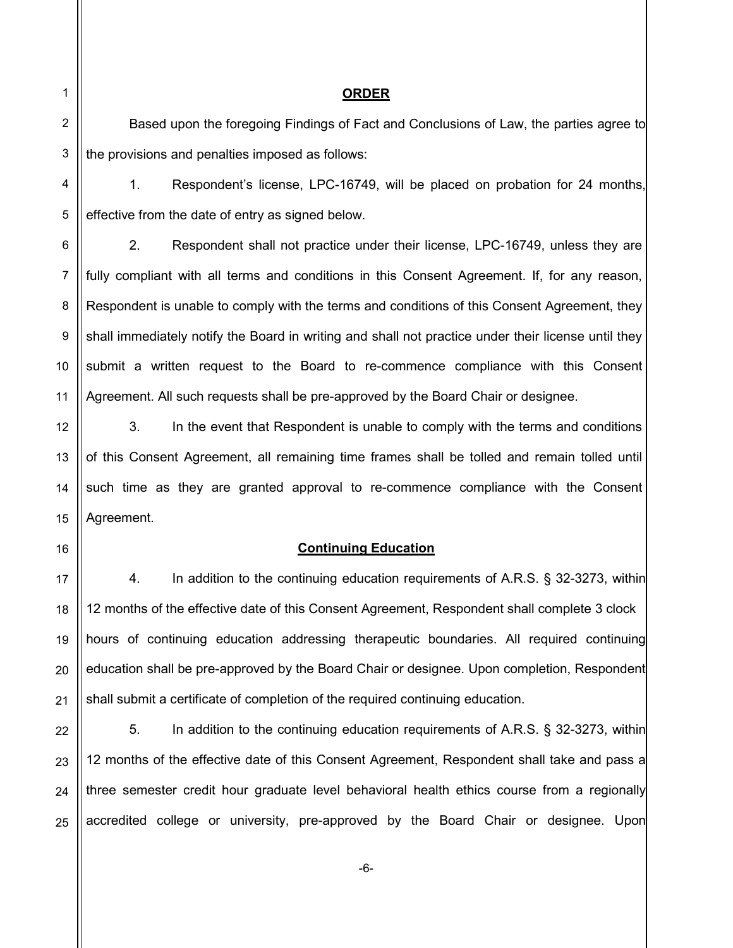3

4

5

12

13

14

15

16

17

18

19

20

21

### ORDER

Based upon the foregoing Findings of Fact and Conclusions of Law, the parties agree to the provisions and penalties imposed as follows:

1. Respondent's license, LPC-16749, will be placed on probation for 24 months, effective from the date of entry as signed below.

6 7 8 9 10 11 2. Respondent shall not practice under their license, LPC-16749, unless they are fully compliant with all terms and conditions in this Consent Agreement. If, for any reason, Respondent is unable to comply with the terms and conditions of this Consent Agreement, they shall immediately notify the Board in writing and shall not practice under their license until they submit a written request to the Board to re-commence compliance with this Consent Agreement. All such requests shall be pre-approved by the Board Chair or designee.

3. In the event that Respondent is unable to comply with the terms and conditions of this Consent Agreement, all remaining time frames shall be tolled and remain tolled until such time as they are granted approval to re-commence compliance with the Consent Agreement.

## Continuing Education

4. In addition to the continuing education requirements of A.R.S. § 32-3273, within 12 months of the effective date of this Consent Agreement, Respondent shall complete 3 clock hours of continuing education addressing therapeutic boundaries. All required continuing education shall be pre-approved by the Board Chair or designee. Upon completion, Respondent shall submit a certificate of completion of the required continuing education.

22 23 24 25 5. In addition to the continuing education requirements of A.R.S. § 32-3273, within 12 months of the effective date of this Consent Agreement, Respondent shall take and pass a three semester credit hour graduate level behavioral health ethics course from a regionally accredited college or university, pre-approved by the Board Chair or designee. Upon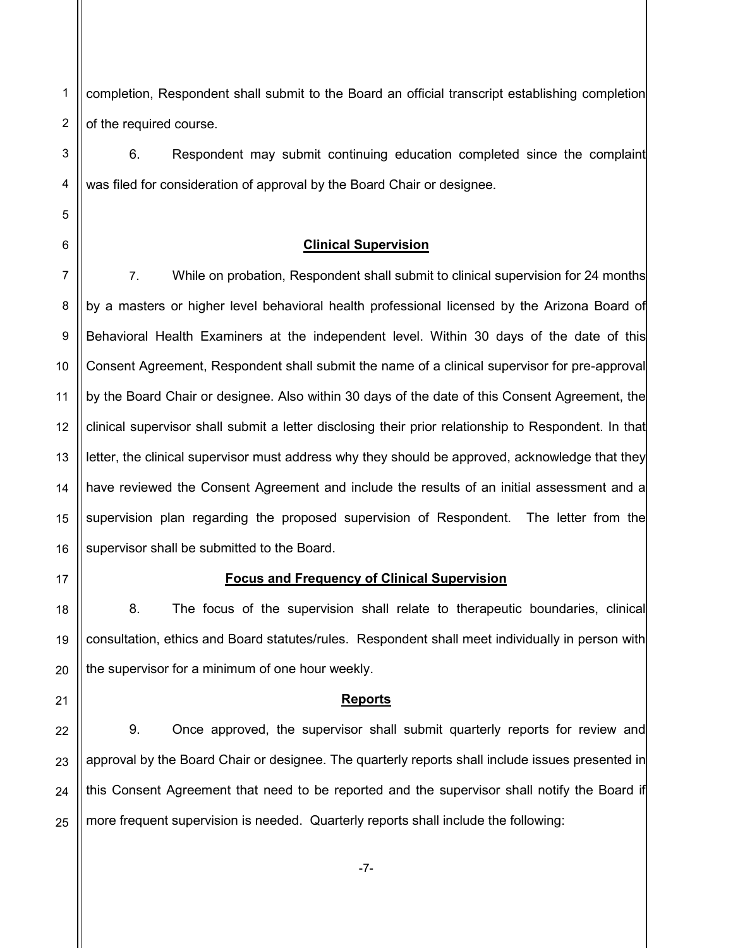1 2 completion, Respondent shall submit to the Board an official transcript establishing completion of the required course.

6. Respondent may submit continuing education completed since the complaint was filed for consideration of approval by the Board Chair or designee.

## Clinical Supervision

8 9 10 11 12 13 14 15 16 7. While on probation, Respondent shall submit to clinical supervision for 24 months by a masters or higher level behavioral health professional licensed by the Arizona Board of Behavioral Health Examiners at the independent level. Within 30 days of the date of this Consent Agreement, Respondent shall submit the name of a clinical supervisor for pre-approval by the Board Chair or designee. Also within 30 days of the date of this Consent Agreement, the clinical supervisor shall submit a letter disclosing their prior relationship to Respondent. In that letter, the clinical supervisor must address why they should be approved, acknowledge that they have reviewed the Consent Agreement and include the results of an initial assessment and a supervision plan regarding the proposed supervision of Respondent. The letter from the supervisor shall be submitted to the Board.

17

18

19

20

21

### Focus and Frequency of Clinical Supervision

8. The focus of the supervision shall relate to therapeutic boundaries, clinical consultation, ethics and Board statutes/rules. Respondent shall meet individually in person with the supervisor for a minimum of one hour weekly.

#### Reports

22 23 24 25 9. Once approved, the supervisor shall submit quarterly reports for review and approval by the Board Chair or designee. The quarterly reports shall include issues presented in this Consent Agreement that need to be reported and the supervisor shall notify the Board if more frequent supervision is needed. Quarterly reports shall include the following: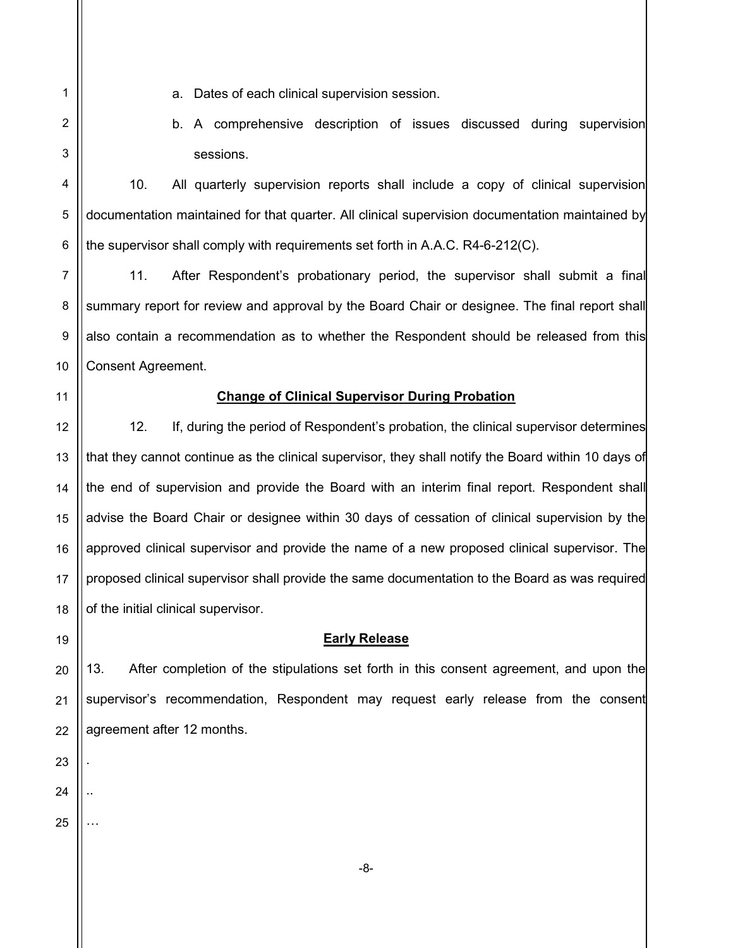4

5

6

7

8

9

10

11

12

13

14

15

16

17

18

19

1

- a. Dates of each clinical supervision session.
- b. A comprehensive description of issues discussed during supervision sessions.

10. All quarterly supervision reports shall include a copy of clinical supervision documentation maintained for that quarter. All clinical supervision documentation maintained by the supervisor shall comply with requirements set forth in A.A.C. R4-6-212(C).

11. After Respondent's probationary period, the supervisor shall submit a final summary report for review and approval by the Board Chair or designee. The final report shall also contain a recommendation as to whether the Respondent should be released from this Consent Agreement.

Change of Clinical Supervisor During Probation

12. If, during the period of Respondent's probation, the clinical supervisor determines that they cannot continue as the clinical supervisor, they shall notify the Board within 10 days of the end of supervision and provide the Board with an interim final report. Respondent shall advise the Board Chair or designee within 30 days of cessation of clinical supervision by the approved clinical supervisor and provide the name of a new proposed clinical supervisor. The proposed clinical supervisor shall provide the same documentation to the Board as was required of the initial clinical supervisor.

## Early Release

13. After completion of the stipulations set forth in this consent agreement, and upon the supervisor's recommendation, Respondent may request early release from the consent agreement after 12 months.

25

.

..

…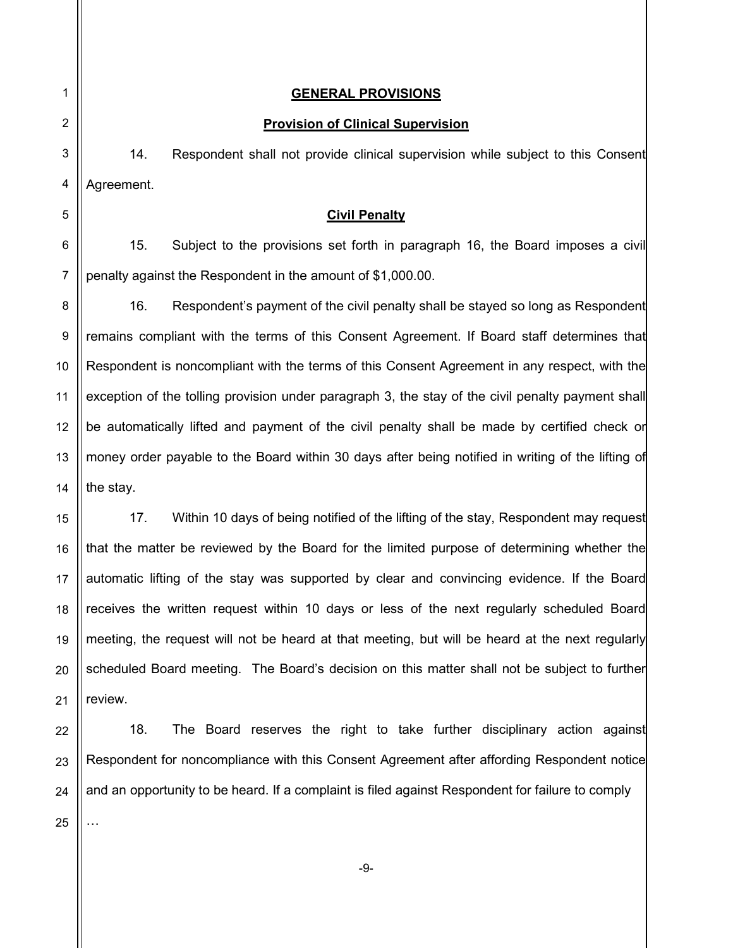## GENERAL PROVISIONS

### Provision of Clinical Supervision

14. Respondent shall not provide clinical supervision while subject to this Consent Agreement.

### Civil Penalty

15. Subject to the provisions set forth in paragraph 16, the Board imposes a civil penalty against the Respondent in the amount of \$1,000.00.

 16. Respondent's payment of the civil penalty shall be stayed so long as Respondent remains compliant with the terms of this Consent Agreement. If Board staff determines that Respondent is noncompliant with the terms of this Consent Agreement in any respect, with the exception of the tolling provision under paragraph 3, the stay of the civil penalty payment shall be automatically lifted and payment of the civil penalty shall be made by certified check or money order payable to the Board within 30 days after being notified in writing of the lifting of the stay.

 17. Within 10 days of being notified of the lifting of the stay, Respondent may request that the matter be reviewed by the Board for the limited purpose of determining whether the automatic lifting of the stay was supported by clear and convincing evidence. If the Board receives the written request within 10 days or less of the next regularly scheduled Board meeting, the request will not be heard at that meeting, but will be heard at the next regularly scheduled Board meeting. The Board's decision on this matter shall not be subject to further review.

23 24 18. The Board reserves the right to take further disciplinary action against Respondent for noncompliance with this Consent Agreement after affording Respondent notice and an opportunity to be heard. If a complaint is filed against Respondent for failure to comply

25

…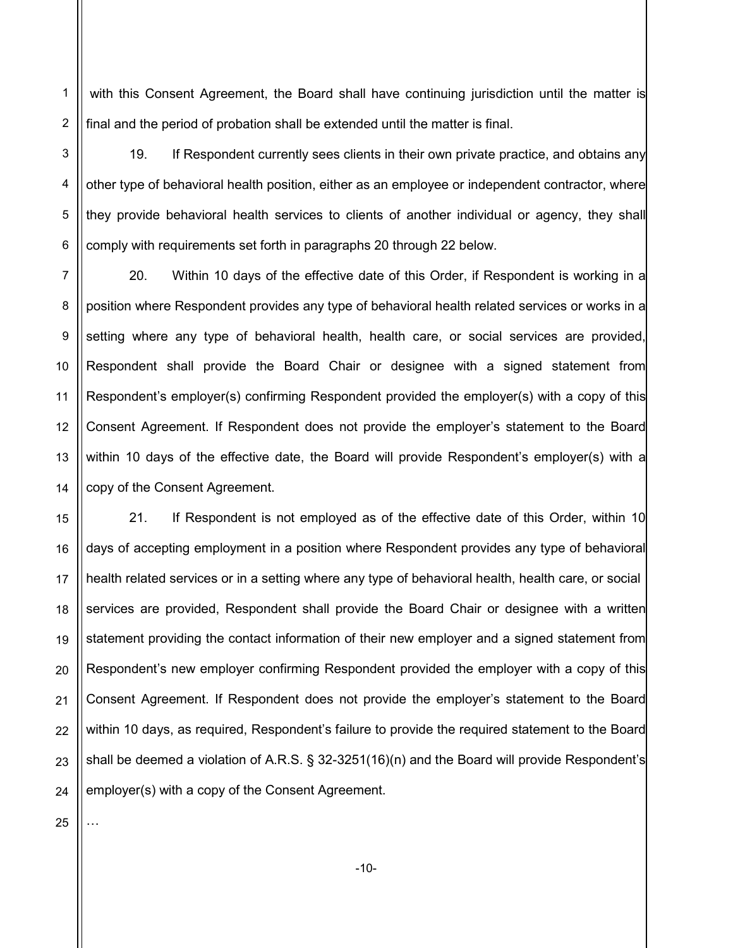2 with this Consent Agreement, the Board shall have continuing jurisdiction until the matter is final and the period of probation shall be extended until the matter is final.

19. If Respondent currently sees clients in their own private practice, and obtains any other type of behavioral health position, either as an employee or independent contractor, where they provide behavioral health services to clients of another individual or agency, they shall comply with requirements set forth in paragraphs 20 through 22 below.

7 8 9 10 11 12 13 14 20. Within 10 days of the effective date of this Order, if Respondent is working in a position where Respondent provides any type of behavioral health related services or works in a setting where any type of behavioral health, health care, or social services are provided, Respondent shall provide the Board Chair or designee with a signed statement from Respondent's employer(s) confirming Respondent provided the employer(s) with a copy of this Consent Agreement. If Respondent does not provide the employer's statement to the Board within 10 days of the effective date, the Board will provide Respondent's employer(s) with a copy of the Consent Agreement.

15 16 17 18 19 20 21 22 23 24 21. If Respondent is not employed as of the effective date of this Order, within 10 days of accepting employment in a position where Respondent provides any type of behavioral health related services or in a setting where any type of behavioral health, health care, or social services are provided, Respondent shall provide the Board Chair or designee with a written statement providing the contact information of their new employer and a signed statement from Respondent's new employer confirming Respondent provided the employer with a copy of this Consent Agreement. If Respondent does not provide the employer's statement to the Board within 10 days, as required, Respondent's failure to provide the required statement to the Board shall be deemed a violation of A.R.S. § 32-3251(16)(n) and the Board will provide Respondent's employer(s) with a copy of the Consent Agreement.

25

…

1

3

4

5

6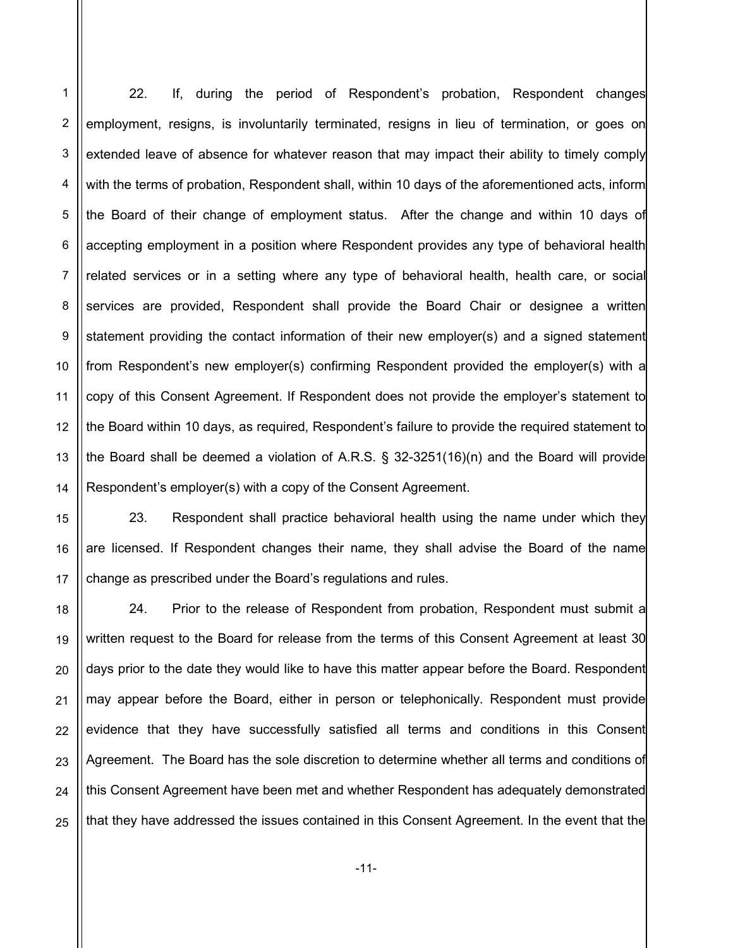5 6 10 12 13 14 22. If, during the period of Respondent's probation, Respondent changes employment, resigns, is involuntarily terminated, resigns in lieu of termination, or goes on extended leave of absence for whatever reason that may impact their ability to timely comply with the terms of probation, Respondent shall, within 10 days of the aforementioned acts, inform the Board of their change of employment status. After the change and within 10 days of accepting employment in a position where Respondent provides any type of behavioral health related services or in a setting where any type of behavioral health, health care, or social services are provided, Respondent shall provide the Board Chair or designee a written statement providing the contact information of their new employer(s) and a signed statement from Respondent's new employer(s) confirming Respondent provided the employer(s) with a copy of this Consent Agreement. If Respondent does not provide the employer's statement to the Board within 10 days, as required, Respondent's failure to provide the required statement to the Board shall be deemed a violation of A.R.S. § 32-3251(16)(n) and the Board will provide Respondent's employer(s) with a copy of the Consent Agreement.

1

2

3

4

7

8

9

11

18

19

21

15 16 17 23. Respondent shall practice behavioral health using the name under which they are licensed. If Respondent changes their name, they shall advise the Board of the name change as prescribed under the Board's regulations and rules.

20 22 23 24 25 24. Prior to the release of Respondent from probation, Respondent must submit a written request to the Board for release from the terms of this Consent Agreement at least 30 days prior to the date they would like to have this matter appear before the Board. Respondent may appear before the Board, either in person or telephonically. Respondent must provide evidence that they have successfully satisfied all terms and conditions in this Consent Agreement. The Board has the sole discretion to determine whether all terms and conditions of this Consent Agreement have been met and whether Respondent has adequately demonstrated that they have addressed the issues contained in this Consent Agreement. In the event that the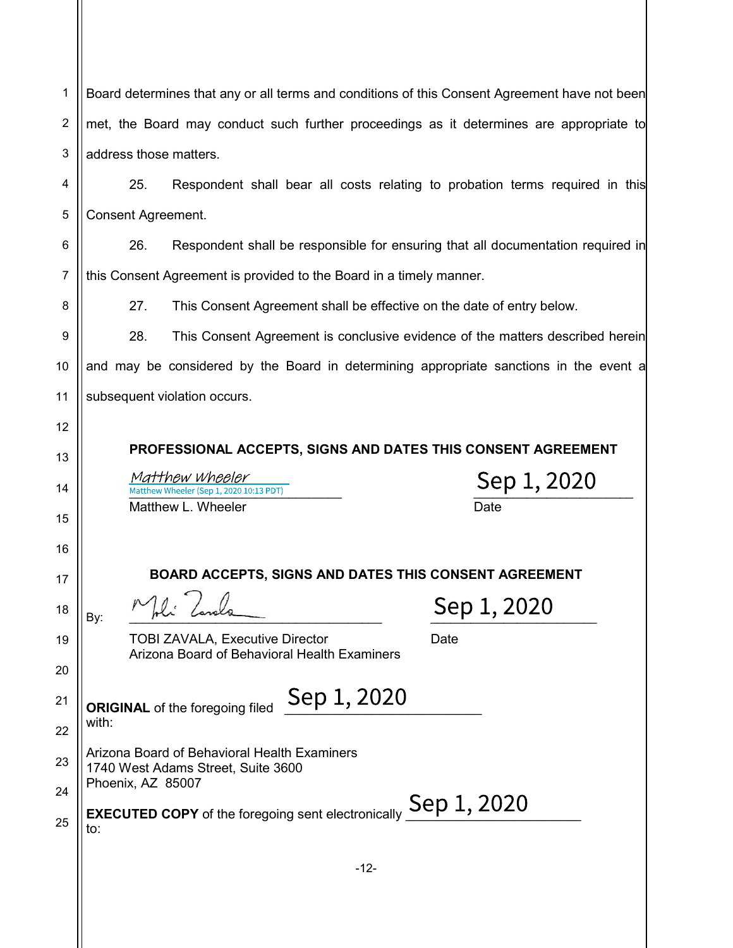|                 | Board determines that any or all terms and conditions of this Consent Agreement have not been |  |  |
|-----------------|-----------------------------------------------------------------------------------------------|--|--|
| 2               | met, the Board may conduct such further proceedings as it determines are appropriate to       |  |  |
| 3               | address those matters.                                                                        |  |  |
| 4               | 25.<br>Respondent shall bear all costs relating to probation terms required in this           |  |  |
| 5               | <b>Consent Agreement.</b>                                                                     |  |  |
| 6               | 26.<br>Respondent shall be responsible for ensuring that all documentation required in        |  |  |
| $\overline{7}$  | this Consent Agreement is provided to the Board in a timely manner.                           |  |  |
| 8               | This Consent Agreement shall be effective on the date of entry below.<br>27.                  |  |  |
| 9               | 28.<br>This Consent Agreement is conclusive evidence of the matters described herein          |  |  |
| 10 <sup>1</sup> | and may be considered by the Board in determining appropriate sanctions in the event a        |  |  |

11 subsequent violation occurs.

12

13

14

15

16

17

18

19

20

21

22

23

24

25

PROFESSIONAL ACCEPTS, SIGNS AND DATES THIS CONSENT AGREEMENT

 $\frac{Matthew\text{ Wheeler (Sep 1, 2020 10:13 PDT)}}{\text{Matthew Wheeler (Sep 1, 2020 10:13 PDT)}}$   $\frac{\text{Sep 1, 2020}}{\text{Date}}$ Matthew L. Wheeler

BOARD ACCEPTS, SIGNS AND DATES THIS CONSENT AGREEMENT  $B_{\text{By:}}$   $M_{\text{hcl}}$   $\left(\frac{1}{2}I_{\text{a}}\right)$   $\left(\frac{1}{2}I_{\text{b}}\right)$ TOBI ZAVALA, Executive Director **Date** Date Arizona Board of Behavioral Health Examiners ORIGINAL of the foregoing filed  $\mathsf{Sep}\ 1,2020$ with: Arizona Board of Behavioral Health Examiners 1740 West Adams Street, Suite 3600 Phoenix, AZ 85007 EXECUTED COPY of the foregoing sent electronically **Sep 1, 2020** to: